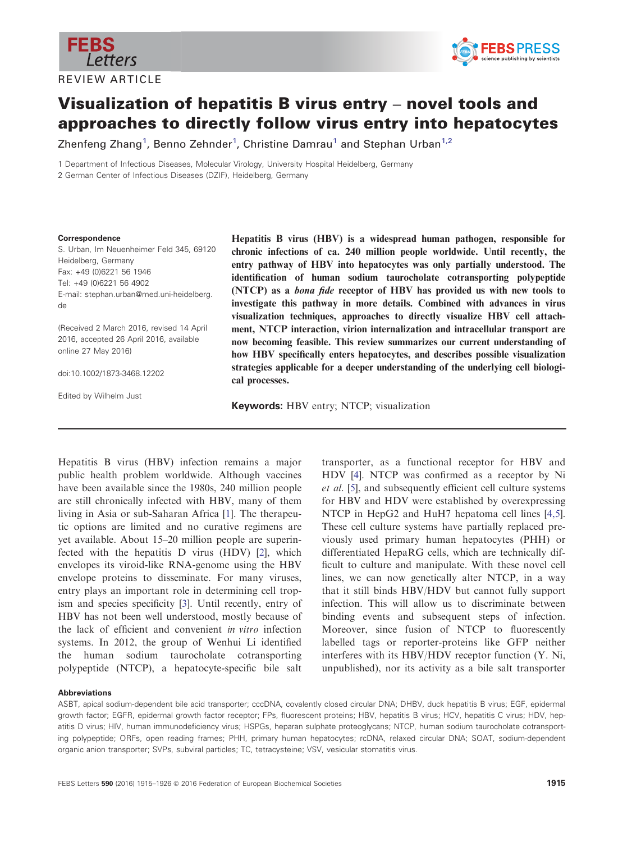

REVIEW ARTICLE



# Visualization of hepatitis B virus entry – novel tools and approaches to directly follow virus entry into hepatocytes

Zhenfeng Zhang<sup>1</sup>, Benno Zehnder<sup>1</sup>, Christine Damrau<sup>1</sup> and Stephan Urban<sup>1,2</sup>

1 Department of Infectious Diseases, Molecular Virology, University Hospital Heidelberg, Germany 2 German Center of Infectious Diseases (DZIF), Heidelberg, Germany

Correspondence

S. Urban, Im Neuenheimer Feld 345, 69120 Heidelberg, Germany Fax: +49 (0)6221 56 1946 Tel: +49 (0)6221 56 4902 E-mail: stephan.urban@med.uni-heidelberg. de

(Received 2 March 2016, revised 14 April 2016, accepted 26 April 2016, available online 27 May 2016)

doi:10.1002/1873-3468.12202

Edited by Wilhelm Just

Hepatitis B virus (HBV) is a widespread human pathogen, responsible for chronic infections of ca. 240 million people worldwide. Until recently, the entry pathway of HBV into hepatocytes was only partially understood. The identification of human sodium taurocholate cotransporting polypeptide (NTCP) as a bona fide receptor of HBV has provided us with new tools to investigate this pathway in more details. Combined with advances in virus visualization techniques, approaches to directly visualize HBV cell attachment, NTCP interaction, virion internalization and intracellular transport are now becoming feasible. This review summarizes our current understanding of how HBV specifically enters hepatocytes, and describes possible visualization strategies applicable for a deeper understanding of the underlying cell biological processes.

Keywords: HBV entry; NTCP; visualization

Hepatitis B virus (HBV) infection remains a major public health problem worldwide. Although vaccines have been available since the 1980s, 240 million people are still chronically infected with HBV, many of them living in Asia or sub-Saharan Africa [[1](#page-7-0)]. The therapeutic options are limited and no curative regimens are yet available. About 15–20 million people are superinfected with the hepatitis D virus (HDV) [[2\]](#page-7-0), which envelopes its viroid-like RNA-genome using the HBV envelope proteins to disseminate. For many viruses, entry plays an important role in determining cell trop-ism and species specificity [\[3\]](#page-7-0). Until recently, entry of HBV has not been well understood, mostly because of the lack of efficient and convenient in vitro infection systems. In 2012, the group of Wenhui Li identified the human sodium taurocholate cotransporting polypeptide (NTCP), a hepatocyte-specific bile salt

transporter, as a functional receptor for HBV and HDV [[4](#page-8-0)]. NTCP was confirmed as a receptor by Ni et al. [\[5](#page-8-0)], and subsequently efficient cell culture systems for HBV and HDV were established by overexpressing NTCP in HepG2 and HuH7 hepatoma cell lines [\[4,5](#page-8-0)]. These cell culture systems have partially replaced previously used primary human hepatocytes (PHH) or differentiated HepaRG cells, which are technically difficult to culture and manipulate. With these novel cell lines, we can now genetically alter NTCP, in a way that it still binds HBV/HDV but cannot fully support infection. This will allow us to discriminate between binding events and subsequent steps of infection. Moreover, since fusion of NTCP to fluorescently labelled tags or reporter-proteins like GFP neither interferes with its HBV/HDV receptor function (Y. Ni, unpublished), nor its activity as a bile salt transporter

#### Abbreviations

ASBT, apical sodium-dependent bile acid transporter; cccDNA, covalently closed circular DNA; DHBV, duck hepatitis B virus; EGF, epidermal growth factor; EGFR, epidermal growth factor receptor; FPs, fluorescent proteins; HBV, hepatitis B virus; HCV, hepatitis C virus; HDV, hepatitis D virus; HIV, human immunodeficiency virus; HSPGs, heparan sulphate proteoglycans; NTCP, human sodium taurocholate cotransporting polypeptide; ORFs, open reading frames; PHH, primary human hepatocytes; rcDNA, relaxed circular DNA; SOAT, sodium-dependent organic anion transporter; SVPs, subviral particles; TC, tetracysteine; VSV, vesicular stomatitis virus.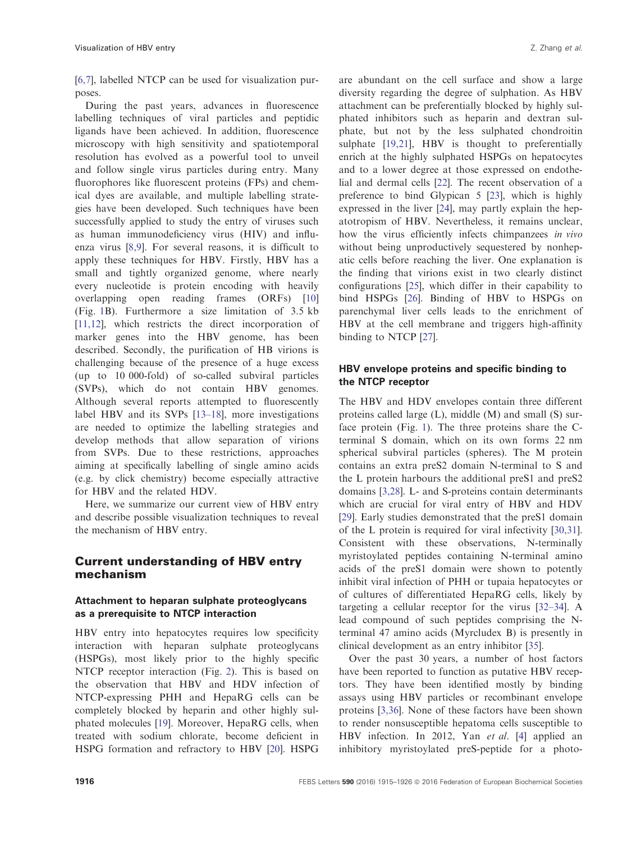[\[6,7](#page-8-0)], labelled NTCP can be used for visualization purposes.

During the past years, advances in fluorescence labelling techniques of viral particles and peptidic ligands have been achieved. In addition, fluorescence microscopy with high sensitivity and spatiotemporal resolution has evolved as a powerful tool to unveil and follow single virus particles during entry. Many fluorophores like fluorescent proteins (FPs) and chemical dyes are available, and multiple labelling strategies have been developed. Such techniques have been successfully applied to study the entry of viruses such as human immunodeficiency virus (HIV) and influenza virus [[8,9\]](#page-8-0). For several reasons, it is difficult to apply these techniques for HBV. Firstly, HBV has a small and tightly organized genome, where nearly every nucleotide is protein encoding with heavily overlapping open reading frames (ORFs) [\[10\]](#page-8-0) (Fig. [1](#page-2-0)B). Furthermore a size limitation of 3.5 kb [\[11,12\]](#page-8-0), which restricts the direct incorporation of marker genes into the HBV genome, has been described. Secondly, the purification of HB virions is challenging because of the presence of a huge excess (up to 10 000-fold) of so-called subviral particles (SVPs), which do not contain HBV genomes. Although several reports attempted to fluorescently label HBV and its SVPs [[13](#page-8-0)–[18\]](#page-8-0), more investigations are needed to optimize the labelling strategies and develop methods that allow separation of virions from SVPs. Due to these restrictions, approaches aiming at specifically labelling of single amino acids (e.g. by click chemistry) become especially attractive for HBV and the related HDV.

Here, we summarize our current view of HBV entry and describe possible visualization techniques to reveal the mechanism of HBV entry.

## Current understanding of HBV entry mechanism

## Attachment to heparan sulphate proteoglycans as a prerequisite to NTCP interaction

HBV entry into hepatocytes requires low specificity interaction with heparan sulphate proteoglycans (HSPGs), most likely prior to the highly specific NTCP receptor interaction (Fig. [2\)](#page-3-0). This is based on the observation that HBV and HDV infection of NTCP-expressing PHH and HepaRG cells can be completely blocked by heparin and other highly sulphated molecules [[19](#page-8-0)]. Moreover, HepaRG cells, when treated with sodium chlorate, become deficient in HSPG formation and refractory to HBV [[20](#page-8-0)]. HSPG

are abundant on the cell surface and show a large diversity regarding the degree of sulphation. As HBV attachment can be preferentially blocked by highly sulphated inhibitors such as heparin and dextran sulphate, but not by the less sulphated chondroitin sulphate [\[19,21\]](#page-8-0), HBV is thought to preferentially enrich at the highly sulphated HSPGs on hepatocytes and to a lower degree at those expressed on endothelial and dermal cells [\[22\]](#page-8-0). The recent observation of a preference to bind Glypican 5 [\[23](#page-8-0)], which is highly expressed in the liver [\[24\]](#page-8-0), may partly explain the hepatotropism of HBV. Nevertheless, it remains unclear, how the virus efficiently infects chimpanzees in vivo without being unproductively sequestered by nonhepatic cells before reaching the liver. One explanation is the finding that virions exist in two clearly distinct configurations [[25](#page-8-0)], which differ in their capability to bind HSPGs [[26](#page-8-0)]. Binding of HBV to HSPGs on parenchymal liver cells leads to the enrichment of HBV at the cell membrane and triggers high-affinity binding to NTCP [[27](#page-8-0)].

## HBV envelope proteins and specific binding to the NTCP receptor

The HBV and HDV envelopes contain three different proteins called large (L), middle (M) and small (S) surface protein (Fig. [1\)](#page-2-0). The three proteins share the Cterminal S domain, which on its own forms 22 nm spherical subviral particles (spheres). The M protein contains an extra preS2 domain N-terminal to S and the L protein harbours the additional preS1 and preS2 domains [\[3,28\]](#page-7-0). L- and S-proteins contain determinants which are crucial for viral entry of HBV and HDV [\[29\]](#page-8-0). Early studies demonstrated that the preS1 domain of the L protein is required for viral infectivity [[30,31](#page-8-0)]. Consistent with these observations, N-terminally myristoylated peptides containing N-terminal amino acids of the preS1 domain were shown to potently inhibit viral infection of PHH or tupaia hepatocytes or of cultures of differentiated HepaRG cells, likely by targeting a cellular receptor for the virus [\[32](#page-9-0)–34]. A lead compound of such peptides comprising the Nterminal 47 amino acids (Myrcludex B) is presently in clinical development as an entry inhibitor [\[35](#page-9-0)].

Over the past 30 years, a number of host factors have been reported to function as putative HBV receptors. They have been identified mostly by binding assays using HBV particles or recombinant envelope proteins [[3,36](#page-7-0)]. None of these factors have been shown to render nonsusceptible hepatoma cells susceptible to HBV infection. In 2012, Yan et al. [\[4\]](#page-8-0) applied an inhibitory myristoylated preS-peptide for a photo-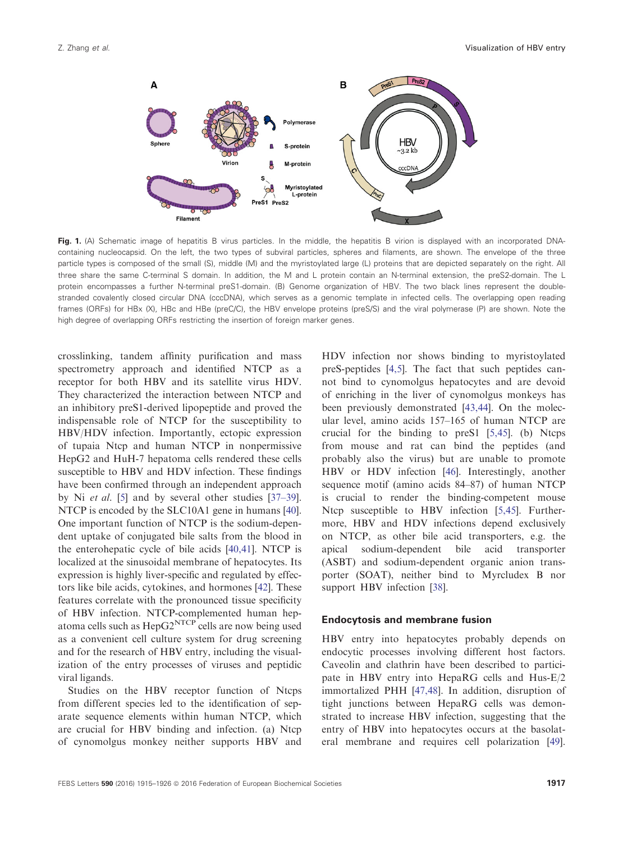<span id="page-2-0"></span>

Fig. 1. (A) Schematic image of hepatitis B virus particles. In the middle, the hepatitis B virion is displayed with an incorporated DNAcontaining nucleocapsid. On the left, the two types of subviral particles, spheres and filaments, are shown. The envelope of the three particle types is composed of the small (S), middle (M) and the myristoylated large (L) proteins that are depicted separately on the right. All three share the same C-terminal S domain. In addition, the M and L protein contain an N-terminal extension, the preS2-domain. The L protein encompasses a further N-terminal preS1-domain. (B) Genome organization of HBV. The two black lines represent the doublestranded covalently closed circular DNA (cccDNA), which serves as a genomic template in infected cells. The overlapping open reading frames (ORFs) for HBx (X), HBc and HBe (preC/C), the HBV envelope proteins (preS/S) and the viral polymerase (P) are shown. Note the high degree of overlapping ORFs restricting the insertion of foreign marker genes.

crosslinking, tandem affinity purification and mass spectrometry approach and identified NTCP as a receptor for both HBV and its satellite virus HDV. They characterized the interaction between NTCP and an inhibitory preS1-derived lipopeptide and proved the indispensable role of NTCP for the susceptibility to HBV/HDV infection. Importantly, ectopic expression of tupaia Ntcp and human NTCP in nonpermissive HepG2 and HuH-7 hepatoma cells rendered these cells susceptible to HBV and HDV infection. These findings have been confirmed through an independent approach by Ni et al. [[5](#page-8-0)] and by several other studies [[37](#page-9-0)–[39](#page-9-0)]. NTCP is encoded by the SLC10A1 gene in humans [[40](#page-9-0)]. One important function of NTCP is the sodium-dependent uptake of conjugated bile salts from the blood in the enterohepatic cycle of bile acids [\[40,41\]](#page-9-0). NTCP is localized at the sinusoidal membrane of hepatocytes. Its expression is highly liver-specific and regulated by effectors like bile acids, cytokines, and hormones [\[42\]](#page-9-0). These features correlate with the pronounced tissue specificity of HBV infection. NTCP-complemented human hepatoma cells such as  $\text{HepG2}^{\text{NTCP}}$  cells are now being used as a convenient cell culture system for drug screening and for the research of HBV entry, including the visualization of the entry processes of viruses and peptidic viral ligands.

Studies on the HBV receptor function of Ntcps from different species led to the identification of separate sequence elements within human NTCP, which are crucial for HBV binding and infection. (a) Ntcp of cynomolgus monkey neither supports HBV and

HDV infection nor shows binding to myristoylated preS-peptides [\[4,5](#page-8-0)]. The fact that such peptides cannot bind to cynomolgus hepatocytes and are devoid of enriching in the liver of cynomolgus monkeys has been previously demonstrated [\[43,44\]](#page-9-0). On the molecular level, amino acids 157–165 of human NTCP are crucial for the binding to preS1 [[5,45\]](#page-8-0). (b) Ntcps from mouse and rat can bind the peptides (and probably also the virus) but are unable to promote HBV or HDV infection [\[46](#page-9-0)]. Interestingly, another sequence motif (amino acids 84–87) of human NTCP is crucial to render the binding-competent mouse Ntcp susceptible to HBV infection [[5,45](#page-8-0)]. Furthermore, HBV and HDV infections depend exclusively on NTCP, as other bile acid transporters, e.g. the apical sodium-dependent bile acid transporter (ASBT) and sodium-dependent organic anion transporter (SOAT), neither bind to Myrcludex B nor support HBV infection [\[38](#page-9-0)].

#### Endocytosis and membrane fusion

HBV entry into hepatocytes probably depends on endocytic processes involving different host factors. Caveolin and clathrin have been described to participate in HBV entry into HepaRG cells and Hus-E/2 immortalized PHH [\[47,48\]](#page-9-0). In addition, disruption of tight junctions between HepaRG cells was demonstrated to increase HBV infection, suggesting that the entry of HBV into hepatocytes occurs at the basolateral membrane and requires cell polarization [[49](#page-9-0)].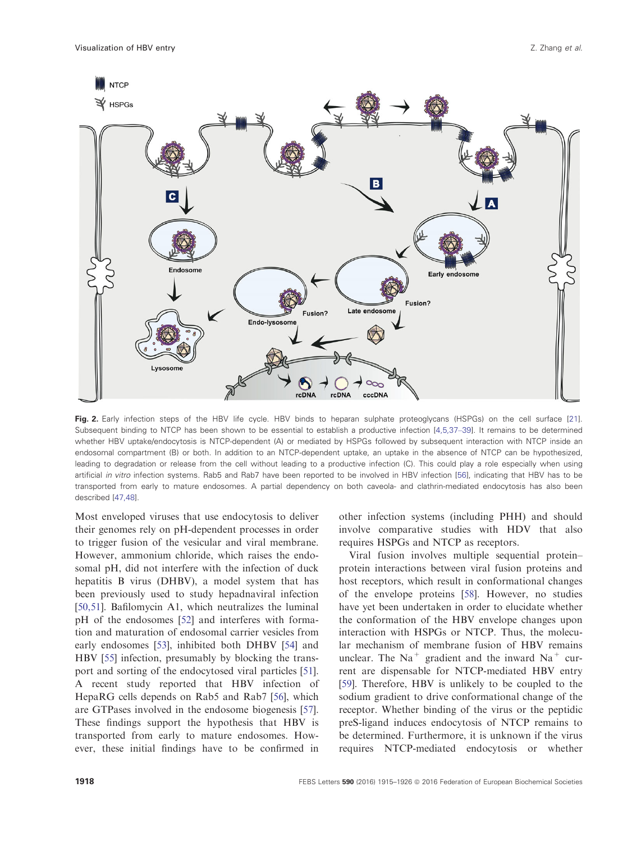<span id="page-3-0"></span>

Fig. 2. Early infection steps of the HBV life cycle. HBV binds to heparan sulphate proteoglycans (HSPGs) on the cell surface [[21](#page-8-0)]. Subsequent binding to NTCP has been shown to be essential to establish a productive infection [\[4,5,37](#page-8-0)–39]. It remains to be determined whether HBV uptake/endocytosis is NTCP-dependent (A) or mediated by HSPGs followed by subsequent interaction with NTCP inside an endosomal compartment (B) or both. In addition to an NTCP-dependent uptake, an uptake in the absence of NTCP can be hypothesized, leading to degradation or release from the cell without leading to a productive infection (C). This could play a role especially when using artificial in vitro infection systems. Rab5 and Rab7 have been reported to be involved in HBV infection [\[56](#page-10-0)], indicating that HBV has to be transported from early to mature endosomes. A partial dependency on both caveola- and clathrin-mediated endocytosis has also been described [[47,48](#page-9-0)].

Most enveloped viruses that use endocytosis to deliver their genomes rely on pH-dependent processes in order to trigger fusion of the vesicular and viral membrane. However, ammonium chloride, which raises the endosomal pH, did not interfere with the infection of duck hepatitis B virus (DHBV), a model system that has been previously used to study hepadnaviral infection [\[50,51\]](#page-9-0). Bafilomycin A1, which neutralizes the luminal pH of the endosomes [\[52\]](#page-9-0) and interferes with formation and maturation of endosomal carrier vesicles from early endosomes [[53\]](#page-9-0), inhibited both DHBV [\[54\]](#page-9-0) and HBV [[55](#page-9-0)] infection, presumably by blocking the transport and sorting of the endocytosed viral particles [[51](#page-9-0)]. A recent study reported that HBV infection of HepaRG cells depends on Rab5 and Rab7 [\[56\]](#page-10-0), which are GTPases involved in the endosome biogenesis [[57](#page-10-0)]. These findings support the hypothesis that HBV is transported from early to mature endosomes. However, these initial findings have to be confirmed in

other infection systems (including PHH) and should involve comparative studies with HDV that also requires HSPGs and NTCP as receptors.

Viral fusion involves multiple sequential protein– protein interactions between viral fusion proteins and host receptors, which result in conformational changes of the envelope proteins [\[58\]](#page-10-0). However, no studies have yet been undertaken in order to elucidate whether the conformation of the HBV envelope changes upon interaction with HSPGs or NTCP. Thus, the molecular mechanism of membrane fusion of HBV remains unclear. The Na<sup>+</sup> gradient and the inward Na<sup>+</sup> current are dispensable for NTCP-mediated HBV entry [\[59\]](#page-10-0). Therefore, HBV is unlikely to be coupled to the sodium gradient to drive conformational change of the receptor. Whether binding of the virus or the peptidic preS-ligand induces endocytosis of NTCP remains to be determined. Furthermore, it is unknown if the virus requires NTCP-mediated endocytosis or whether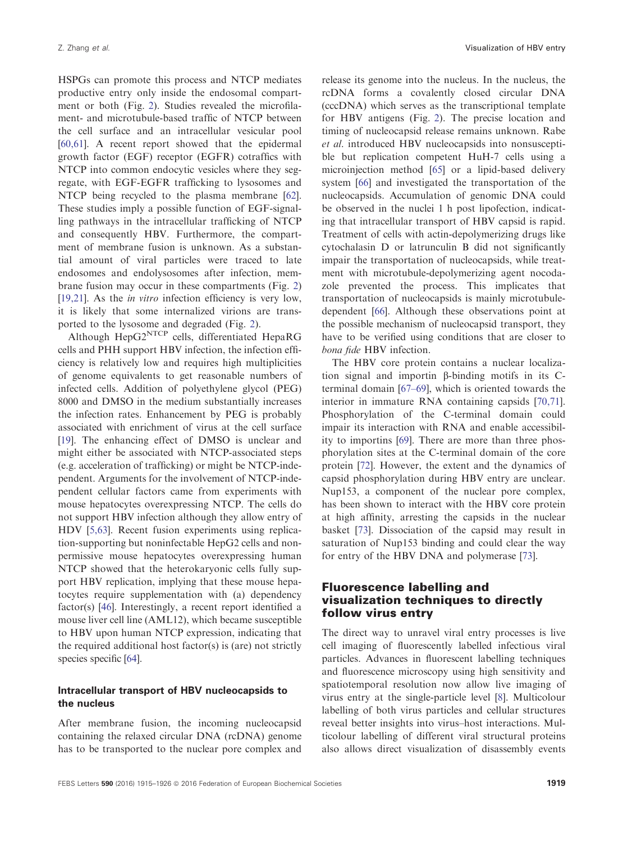HSPGs can promote this process and NTCP mediates productive entry only inside the endosomal compartment or both (Fig. [2\)](#page-3-0). Studies revealed the microfilament- and microtubule-based traffic of NTCP between the cell surface and an intracellular vesicular pool [\[60,61\]](#page-10-0). A recent report showed that the epidermal growth factor (EGF) receptor (EGFR) cotraffics with NTCP into common endocytic vesicles where they segregate, with EGF-EGFR trafficking to lysosomes and NTCP being recycled to the plasma membrane [[62](#page-10-0)]. These studies imply a possible function of EGF-signalling pathways in the intracellular trafficking of NTCP and consequently HBV. Furthermore, the compartment of membrane fusion is unknown. As a substantial amount of viral particles were traced to late endosomes and endolysosomes after infection, membrane fusion may occur in these compartments (Fig. [2](#page-3-0)) [\[19,21\]](#page-8-0). As the *in vitro* infection efficiency is very low, it is likely that some internalized virions are transported to the lysosome and degraded (Fig. [2\)](#page-3-0).

Although HepG2NTCP cells, differentiated HepaRG cells and PHH support HBV infection, the infection efficiency is relatively low and requires high multiplicities of genome equivalents to get reasonable numbers of infected cells. Addition of polyethylene glycol (PEG) 8000 and DMSO in the medium substantially increases the infection rates. Enhancement by PEG is probably associated with enrichment of virus at the cell surface [\[19\]](#page-8-0). The enhancing effect of DMSO is unclear and might either be associated with NTCP-associated steps (e.g. acceleration of trafficking) or might be NTCP-independent. Arguments for the involvement of NTCP-independent cellular factors came from experiments with mouse hepatocytes overexpressing NTCP. The cells do not support HBV infection although they allow entry of HDV [\[5,63](#page-8-0)]. Recent fusion experiments using replication-supporting but noninfectable HepG2 cells and nonpermissive mouse hepatocytes overexpressing human NTCP showed that the heterokaryonic cells fully support HBV replication, implying that these mouse hepatocytes require supplementation with (a) dependency factor(s) [\[46\]](#page-9-0). Interestingly, a recent report identified a mouse liver cell line (AML12), which became susceptible to HBV upon human NTCP expression, indicating that the required additional host factor(s) is (are) not strictly species specific [[64](#page-10-0)].

## Intracellular transport of HBV nucleocapsids to the nucleus

After membrane fusion, the incoming nucleocapsid containing the relaxed circular DNA (rcDNA) genome has to be transported to the nuclear pore complex and release its genome into the nucleus. In the nucleus, the rcDNA forms a covalently closed circular DNA (cccDNA) which serves as the transcriptional template for HBV antigens (Fig. [2](#page-3-0)). The precise location and timing of nucleocapsid release remains unknown. Rabe et al. introduced HBV nucleocapsids into nonsusceptible but replication competent HuH-7 cells using a microinjection method [[65](#page-10-0)] or a lipid-based delivery system [[66](#page-10-0)] and investigated the transportation of the nucleocapsids. Accumulation of genomic DNA could be observed in the nuclei 1 h post lipofection, indicating that intracellular transport of HBV capsid is rapid. Treatment of cells with actin-depolymerizing drugs like cytochalasin D or latrunculin B did not significantly impair the transportation of nucleocapsids, while treatment with microtubule-depolymerizing agent nocodazole prevented the process. This implicates that transportation of nucleocapsids is mainly microtubuledependent [[66\]](#page-10-0). Although these observations point at the possible mechanism of nucleocapsid transport, they have to be verified using conditions that are closer to bona fide HBV infection.

The HBV core protein contains a nuclear localization signal and importin b-binding motifs in its Cterminal domain [[67](#page-10-0)–[69](#page-10-0)], which is oriented towards the interior in immature RNA containing capsids [[70,71](#page-10-0)]. Phosphorylation of the C-terminal domain could impair its interaction with RNA and enable accessibility to importins [[69](#page-10-0)]. There are more than three phosphorylation sites at the C-terminal domain of the core protein [[72](#page-10-0)]. However, the extent and the dynamics of capsid phosphorylation during HBV entry are unclear. Nup153, a component of the nuclear pore complex, has been shown to interact with the HBV core protein at high affinity, arresting the capsids in the nuclear basket [[73](#page-10-0)]. Dissociation of the capsid may result in saturation of Nup153 binding and could clear the way for entry of the HBV DNA and polymerase [\[73\]](#page-10-0).

# Fluorescence labelling and visualization techniques to directly follow virus entry

The direct way to unravel viral entry processes is live cell imaging of fluorescently labelled infectious viral particles. Advances in fluorescent labelling techniques and fluorescence microscopy using high sensitivity and spatiotemporal resolution now allow live imaging of virus entry at the single-particle level [[8](#page-8-0)]. Multicolour labelling of both virus particles and cellular structures reveal better insights into virus–host interactions. Multicolour labelling of different viral structural proteins also allows direct visualization of disassembly events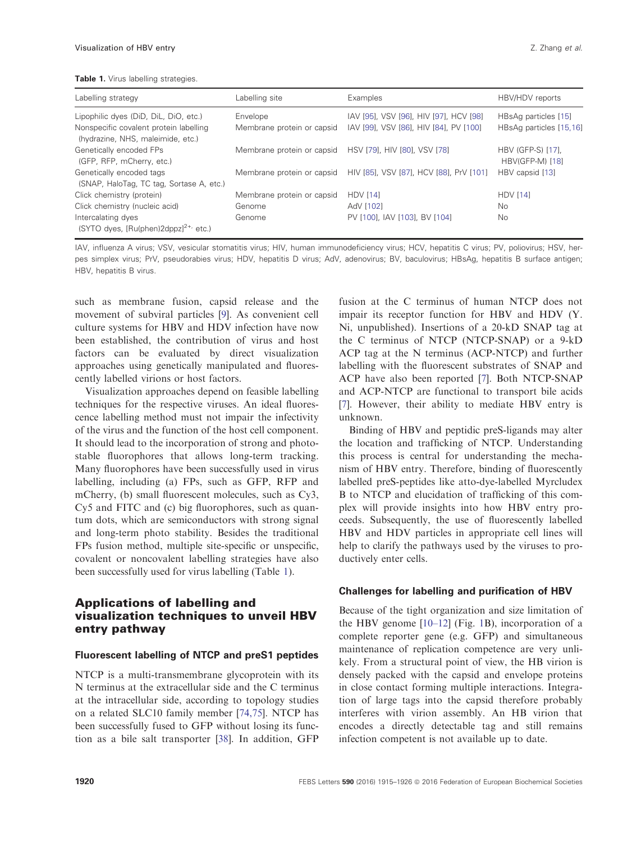<span id="page-5-0"></span>

| Labelling strategy                                                          | Labelling site                                          | Examples                                                           | HBV/HDV reports                      |
|-----------------------------------------------------------------------------|---------------------------------------------------------|--------------------------------------------------------------------|--------------------------------------|
| Lipophilic dyes (DiD, DiL, DiO, etc.)                                       | Envelope                                                | IAV [95], VSV [96], HIV [97], HCV [98]                             | HBsAg particles [15]                 |
| Nonspecific covalent protein labelling<br>(hydrazine, NHS, maleimide, etc.) | Membrane protein or capsid                              | IAV [99], VSV [86], HIV [84], PV [100]                             | HBsAg particles [15,16]              |
| Genetically encoded FPs<br>(GFP, RFP, mCherry, etc.)                        | Membrane protein or capsid HSV [79], HIV [80], VSV [78] |                                                                    | HBV (GFP-S) [17],<br>HBV(GFP-M) [18] |
| Genetically encoded tags<br>(SNAP, HaloTag, TC tag, Sortase A, etc.)        |                                                         | Membrane protein or capsid HIV [85], VSV [87], HCV [88], PrV [101] | HBV capsid [13]                      |
| Click chemistry (protein)                                                   | Membrane protein or capsid                              | <b>HDV [14]</b>                                                    | <b>HDV [14]</b>                      |
| Click chemistry (nucleic acid)                                              | Genome                                                  | AdV [102]                                                          | N <sub>o</sub>                       |
| Intercalating dyes<br>(SYTO dyes, [Ru(phen)2dppz] <sup>2+,</sup> etc.)      | Genome                                                  | PV [100], IAV [103], BV [104]                                      | No.                                  |

IAV, influenza A virus; VSV, vesicular stomatitis virus; HIV, human immunodeficiency virus; HCV, hepatitis C virus; PV, poliovirus; HSV, herpes simplex virus; PrV, pseudorabies virus; HDV, hepatitis D virus; AdV, adenovirus; BV, baculovirus; HBsAg, hepatitis B surface antigen; HBV, hepatitis B virus.

such as membrane fusion, capsid release and the movement of subviral particles [[9](#page-8-0)]. As convenient cell culture systems for HBV and HDV infection have now been established, the contribution of virus and host factors can be evaluated by direct visualization approaches using genetically manipulated and fluorescently labelled virions or host factors.

Visualization approaches depend on feasible labelling techniques for the respective viruses. An ideal fluorescence labelling method must not impair the infectivity of the virus and the function of the host cell component. It should lead to the incorporation of strong and photostable fluorophores that allows long-term tracking. Many fluorophores have been successfully used in virus labelling, including (a) FPs, such as GFP, RFP and mCherry, (b) small fluorescent molecules, such as Cy3, Cy5 and FITC and (c) big fluorophores, such as quantum dots, which are semiconductors with strong signal and long-term photo stability. Besides the traditional FPs fusion method, multiple site-specific or unspecific, covalent or noncovalent labelling strategies have also been successfully used for virus labelling (Table 1).

# Applications of labelling and visualization techniques to unveil HBV entry pathway

#### Fluorescent labelling of NTCP and preS1 peptides

NTCP is a multi-transmembrane glycoprotein with its N terminus at the extracellular side and the C terminus at the intracellular side, according to topology studies on a related SLC10 family member [\[74,75\]](#page-10-0). NTCP has been successfully fused to GFP without losing its function as a bile salt transporter [[38](#page-9-0)]. In addition, GFP

fusion at the C terminus of human NTCP does not impair its receptor function for HBV and HDV (Y. Ni, unpublished). Insertions of a 20-kD SNAP tag at the C terminus of NTCP (NTCP-SNAP) or a 9-kD ACP tag at the N terminus (ACP-NTCP) and further labelling with the fluorescent substrates of SNAP and ACP have also been reported [\[7\]](#page-8-0). Both NTCP-SNAP and ACP-NTCP are functional to transport bile acids [\[7](#page-8-0)]. However, their ability to mediate HBV entry is unknown.

Binding of HBV and peptidic preS-ligands may alter the location and trafficking of NTCP. Understanding this process is central for understanding the mechanism of HBV entry. Therefore, binding of fluorescently labelled preS-peptides like atto-dye-labelled Myrcludex B to NTCP and elucidation of trafficking of this complex will provide insights into how HBV entry proceeds. Subsequently, the use of fluorescently labelled HBV and HDV particles in appropriate cell lines will help to clarify the pathways used by the viruses to productively enter cells.

#### Challenges for labelling and purification of HBV

Because of the tight organization and size limitation of the HBV genome  $[10-12]$  $[10-12]$  $[10-12]$  (Fig. [1B](#page-2-0)), incorporation of a complete reporter gene (e.g. GFP) and simultaneous maintenance of replication competence are very unlikely. From a structural point of view, the HB virion is densely packed with the capsid and envelope proteins in close contact forming multiple interactions. Integration of large tags into the capsid therefore probably interferes with virion assembly. An HB virion that encodes a directly detectable tag and still remains infection competent is not available up to date.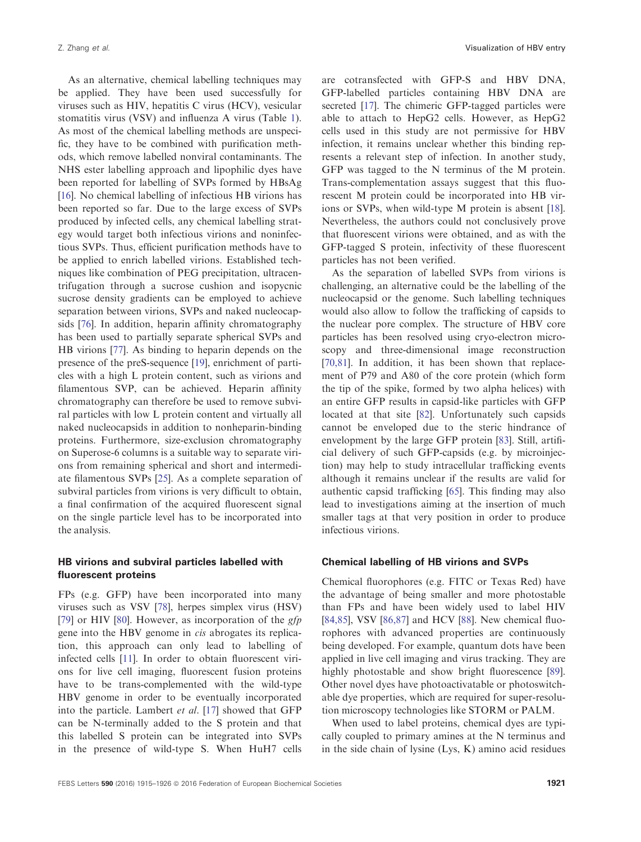As an alternative, chemical labelling techniques may be applied. They have been used successfully for viruses such as HIV, hepatitis C virus (HCV), vesicular stomatitis virus (VSV) and influenza A virus (Table [1\)](#page-5-0). As most of the chemical labelling methods are unspecific, they have to be combined with purification methods, which remove labelled nonviral contaminants. The NHS ester labelling approach and lipophilic dyes have been reported for labelling of SVPs formed by HBsAg [\[16\]](#page-8-0). No chemical labelling of infectious HB virions has been reported so far. Due to the large excess of SVPs produced by infected cells, any chemical labelling strategy would target both infectious virions and noninfectious SVPs. Thus, efficient purification methods have to be applied to enrich labelled virions. Established techniques like combination of PEG precipitation, ultracentrifugation through a sucrose cushion and isopycnic sucrose density gradients can be employed to achieve separation between virions, SVPs and naked nucleocapsids [\[76\]](#page-10-0). In addition, heparin affinity chromatography has been used to partially separate spherical SVPs and HB virions [[77](#page-10-0)]. As binding to heparin depends on the presence of the preS-sequence [[19](#page-8-0)], enrichment of particles with a high L protein content, such as virions and filamentous SVP, can be achieved. Heparin affinity chromatography can therefore be used to remove subviral particles with low L protein content and virtually all naked nucleocapsids in addition to nonheparin-binding proteins. Furthermore, size-exclusion chromatography on Superose-6 columns is a suitable way to separate virions from remaining spherical and short and intermediate filamentous SVPs [[25](#page-8-0)]. As a complete separation of subviral particles from virions is very difficult to obtain, a final confirmation of the acquired fluorescent signal on the single particle level has to be incorporated into the analysis.

## HB virions and subviral particles labelled with fluorescent proteins

FPs (e.g. GFP) have been incorporated into many viruses such as VSV [\[78\]](#page-10-0), herpes simplex virus (HSV) [\[79\]](#page-10-0) or HIV [\[80\]](#page-10-0). However, as incorporation of the  $gfp$ gene into the HBV genome in cis abrogates its replication, this approach can only lead to labelling of infected cells [[11](#page-8-0)]. In order to obtain fluorescent virions for live cell imaging, fluorescent fusion proteins have to be trans-complemented with the wild-type HBV genome in order to be eventually incorporated into the particle. Lambert et al. [\[17\]](#page-8-0) showed that GFP can be N-terminally added to the S protein and that this labelled S protein can be integrated into SVPs in the presence of wild-type S. When HuH7 cells

are cotransfected with GFP-S and HBV DNA, GFP-labelled particles containing HBV DNA are secreted [\[17](#page-8-0)]. The chimeric GFP-tagged particles were able to attach to HepG2 cells. However, as HepG2 cells used in this study are not permissive for HBV infection, it remains unclear whether this binding represents a relevant step of infection. In another study, GFP was tagged to the N terminus of the M protein. Trans-complementation assays suggest that this fluorescent M protein could be incorporated into HB virions or SVPs, when wild-type M protein is absent [[18](#page-8-0)]. Nevertheless, the authors could not conclusively prove that fluorescent virions were obtained, and as with the GFP-tagged S protein, infectivity of these fluorescent particles has not been verified.

As the separation of labelled SVPs from virions is challenging, an alternative could be the labelling of the nucleocapsid or the genome. Such labelling techniques would also allow to follow the trafficking of capsids to the nuclear pore complex. The structure of HBV core particles has been resolved using cryo-electron microscopy and three-dimensional image reconstruction [[70,81](#page-10-0)]. In addition, it has been shown that replacement of P79 and A80 of the core protein (which form the tip of the spike, formed by two alpha helices) with an entire GFP results in capsid-like particles with GFP located at that site [[82](#page-11-0)]. Unfortunately such capsids cannot be enveloped due to the steric hindrance of envelopment by the large GFP protein [[83\]](#page-11-0). Still, artificial delivery of such GFP-capsids (e.g. by microinjection) may help to study intracellular trafficking events although it remains unclear if the results are valid for authentic capsid trafficking [\[65\]](#page-10-0). This finding may also lead to investigations aiming at the insertion of much smaller tags at that very position in order to produce infectious virions.

### Chemical labelling of HB virions and SVPs

Chemical fluorophores (e.g. FITC or Texas Red) have the advantage of being smaller and more photostable than FPs and have been widely used to label HIV [[84,85](#page-11-0)], VSV [[86,87](#page-11-0)] and HCV [[88](#page-11-0)]. New chemical fluorophores with advanced properties are continuously being developed. For example, quantum dots have been applied in live cell imaging and virus tracking. They are highly photostable and show bright fluorescence [[89](#page-11-0)]. Other novel dyes have photoactivatable or photoswitchable dye properties, which are required for super-resolution microscopy technologies like STORM or PALM.

When used to label proteins, chemical dyes are typically coupled to primary amines at the N terminus and in the side chain of lysine (Lys, K) amino acid residues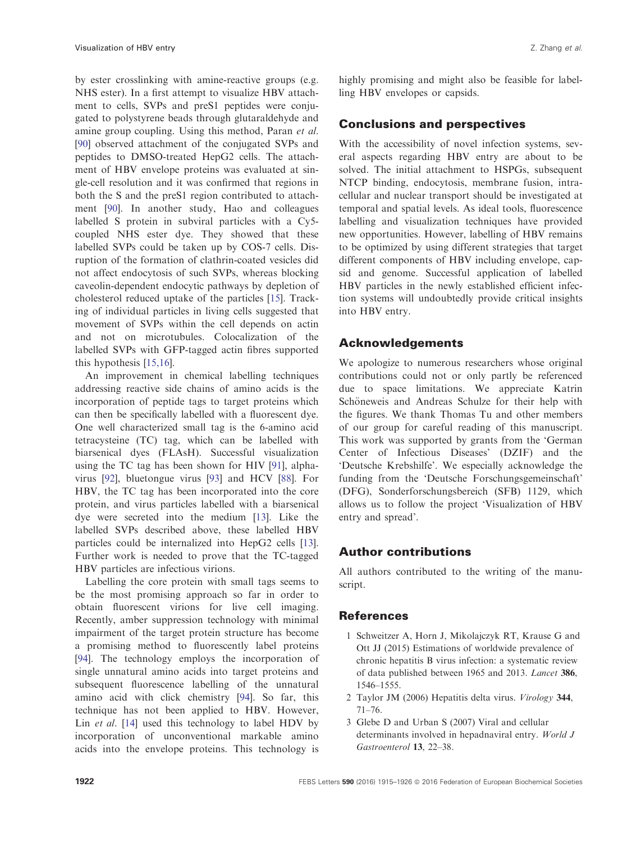<span id="page-7-0"></span>by ester crosslinking with amine-reactive groups (e.g. NHS ester). In a first attempt to visualize HBV attachment to cells, SVPs and preS1 peptides were conjugated to polystyrene beads through glutaraldehyde and amine group coupling. Using this method, Paran et al. [\[90\]](#page-11-0) observed attachment of the conjugated SVPs and peptides to DMSO-treated HepG2 cells. The attachment of HBV envelope proteins was evaluated at single-cell resolution and it was confirmed that regions in both the S and the preS1 region contributed to attachment [[90](#page-11-0)]. In another study, Hao and colleagues labelled S protein in subviral particles with a Cy5 coupled NHS ester dye. They showed that these labelled SVPs could be taken up by COS-7 cells. Disruption of the formation of clathrin-coated vesicles did not affect endocytosis of such SVPs, whereas blocking caveolin-dependent endocytic pathways by depletion of cholesterol reduced uptake of the particles [[15](#page-8-0)]. Tracking of individual particles in living cells suggested that movement of SVPs within the cell depends on actin and not on microtubules. Colocalization of the labelled SVPs with GFP-tagged actin fibres supported this hypothesis [[15,16](#page-8-0)].

An improvement in chemical labelling techniques addressing reactive side chains of amino acids is the incorporation of peptide tags to target proteins which can then be specifically labelled with a fluorescent dye. One well characterized small tag is the 6-amino acid tetracysteine (TC) tag, which can be labelled with biarsenical dyes (FLAsH). Successful visualization using the TC tag has been shown for HIV [\[91\]](#page-11-0), alphavirus [\[92\]](#page-11-0), bluetongue virus [[93](#page-11-0)] and HCV [\[88\]](#page-11-0). For HBV, the TC tag has been incorporated into the core protein, and virus particles labelled with a biarsenical dye were secreted into the medium [[13](#page-8-0)]. Like the labelled SVPs described above, these labelled HBV particles could be internalized into HepG2 cells [[13](#page-8-0)]. Further work is needed to prove that the TC-tagged HBV particles are infectious virions.

Labelling the core protein with small tags seems to be the most promising approach so far in order to obtain fluorescent virions for live cell imaging. Recently, amber suppression technology with minimal impairment of the target protein structure has become a promising method to fluorescently label proteins [\[94\]](#page-11-0). The technology employs the incorporation of single unnatural amino acids into target proteins and subsequent fluorescence labelling of the unnatural amino acid with click chemistry [[94](#page-11-0)]. So far, this technique has not been applied to HBV. However, Lin et al. [[14](#page-8-0)] used this technology to label HDV by incorporation of unconventional markable amino acids into the envelope proteins. This technology is highly promising and might also be feasible for labelling HBV envelopes or capsids.

# Conclusions and perspectives

With the accessibility of novel infection systems, several aspects regarding HBV entry are about to be solved. The initial attachment to HSPGs, subsequent NTCP binding, endocytosis, membrane fusion, intracellular and nuclear transport should be investigated at temporal and spatial levels. As ideal tools, fluorescence labelling and visualization techniques have provided new opportunities. However, labelling of HBV remains to be optimized by using different strategies that target different components of HBV including envelope, capsid and genome. Successful application of labelled HBV particles in the newly established efficient infection systems will undoubtedly provide critical insights into HBV entry.

## Acknowledgements

We apologize to numerous researchers whose original contributions could not or only partly be referenced due to space limitations. We appreciate Katrin Schöneweis and Andreas Schulze for their help with the figures. We thank Thomas Tu and other members of our group for careful reading of this manuscript. This work was supported by grants from the 'German Center of Infectious Diseases' (DZIF) and the 'Deutsche Krebshilfe'. We especially acknowledge the funding from the 'Deutsche Forschungsgemeinschaft' (DFG), Sonderforschungsbereich (SFB) 1129, which allows us to follow the project 'Visualization of HBV entry and spread'.

# Author contributions

All authors contributed to the writing of the manuscript.

## References

- 1 Schweitzer A, Horn J, Mikolajczyk RT, Krause G and Ott JJ (2015) Estimations of worldwide prevalence of chronic hepatitis B virus infection: a systematic review of data published between 1965 and 2013. Lancet 386, 1546–1555.
- 2 Taylor JM (2006) Hepatitis delta virus. Virology 344, 71–76.
- 3 Glebe D and Urban S (2007) Viral and cellular determinants involved in hepadnaviral entry. World J Gastroenterol 13, 22–38.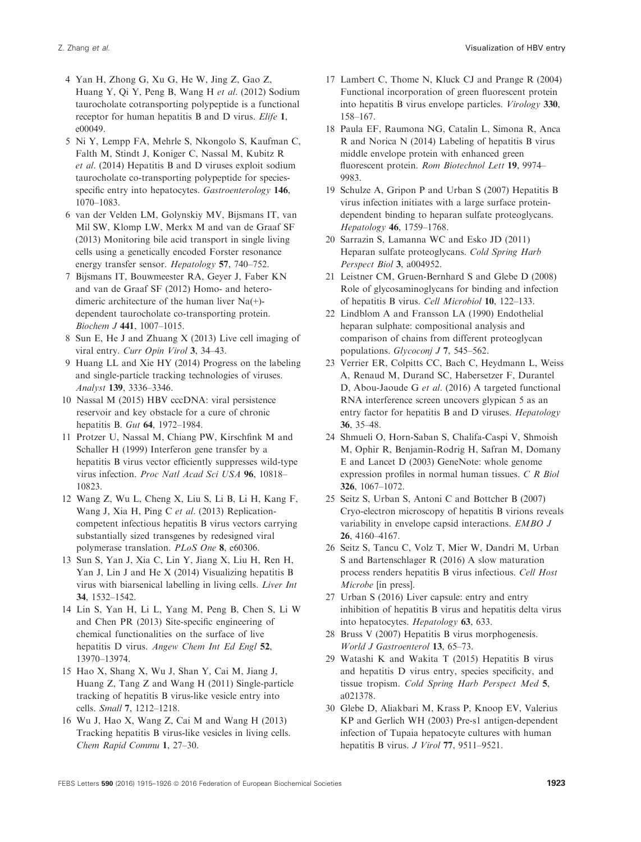- <span id="page-8-0"></span>4 Yan H, Zhong G, Xu G, He W, Jing Z, Gao Z, Huang Y, Qi Y, Peng B, Wang H et al. (2012) Sodium taurocholate cotransporting polypeptide is a functional receptor for human hepatitis B and D virus. Elife 1, e00049.
- 5 Ni Y, Lempp FA, Mehrle S, Nkongolo S, Kaufman C, Falth M, Stindt J, Koniger C, Nassal M, Kubitz R et al. (2014) Hepatitis B and D viruses exploit sodium taurocholate co-transporting polypeptide for speciesspecific entry into hepatocytes. Gastroenterology 146, 1070–1083.
- 6 van der Velden LM, Golynskiy MV, Bijsmans IT, van Mil SW, Klomp LW, Merkx M and van de Graaf SF (2013) Monitoring bile acid transport in single living cells using a genetically encoded Forster resonance energy transfer sensor. Hepatology 57, 740–752.
- 7 Bijsmans IT, Bouwmeester RA, Geyer J, Faber KN and van de Graaf SF (2012) Homo- and heterodimeric architecture of the human liver Na(+) dependent taurocholate co-transporting protein. Biochem J 441, 1007–1015.
- 8 Sun E, He J and Zhuang X (2013) Live cell imaging of viral entry. Curr Opin Virol 3, 34–43.
- 9 Huang LL and Xie HY (2014) Progress on the labeling and single-particle tracking technologies of viruses. Analyst 139, 3336–3346.
- 10 Nassal M (2015) HBV cccDNA: viral persistence reservoir and key obstacle for a cure of chronic hepatitis B. Gut 64, 1972–1984.
- 11 Protzer U, Nassal M, Chiang PW, Kirschfink M and Schaller H (1999) Interferon gene transfer by a hepatitis B virus vector efficiently suppresses wild-type virus infection. Proc Natl Acad Sci USA 96, 10818– 10823.
- 12 Wang Z, Wu L, Cheng X, Liu S, Li B, Li H, Kang F, Wang J, Xia H, Ping C et al. (2013) Replicationcompetent infectious hepatitis B virus vectors carrying substantially sized transgenes by redesigned viral polymerase translation. PLoS One 8, e60306.
- 13 Sun S, Yan J, Xia C, Lin Y, Jiang X, Liu H, Ren H, Yan J, Lin J and He X (2014) Visualizing hepatitis B virus with biarsenical labelling in living cells. Liver Int 34, 1532–1542.
- 14 Lin S, Yan H, Li L, Yang M, Peng B, Chen S, Li W and Chen PR (2013) Site-specific engineering of chemical functionalities on the surface of live hepatitis D virus. Angew Chem Int Ed Engl 52, 13970–13974.
- 15 Hao X, Shang X, Wu J, Shan Y, Cai M, Jiang J, Huang Z, Tang Z and Wang H (2011) Single-particle tracking of hepatitis B virus-like vesicle entry into cells. Small 7, 1212–1218.
- 16 Wu J, Hao X, Wang Z, Cai M and Wang H (2013) Tracking hepatitis B virus-like vesicles in living cells. Chem Rapid Commu 1, 27–30.
- 17 Lambert C, Thome N, Kluck CJ and Prange R (2004) Functional incorporation of green fluorescent protein into hepatitis B virus envelope particles. Virology 330, 158–167.
- 18 Paula EF, Raumona NG, Catalin L, Simona R, Anca R and Norica N (2014) Labeling of hepatitis B virus middle envelope protein with enhanced green fluorescent protein. Rom Biotechnol Lett 19, 9974– 9983.
- 19 Schulze A, Gripon P and Urban S (2007) Hepatitis B virus infection initiates with a large surface proteindependent binding to heparan sulfate proteoglycans. Hepatology 46, 1759–1768.
- 20 Sarrazin S, Lamanna WC and Esko JD (2011) Heparan sulfate proteoglycans. Cold Spring Harb Perspect Biol 3, a004952.
- 21 Leistner CM, Gruen-Bernhard S and Glebe D (2008) Role of glycosaminoglycans for binding and infection of hepatitis B virus. Cell Microbiol 10, 122–133.
- 22 Lindblom A and Fransson LA (1990) Endothelial heparan sulphate: compositional analysis and comparison of chains from different proteoglycan populations. Glycoconj J 7, 545–562.
- 23 Verrier ER, Colpitts CC, Bach C, Heydmann L, Weiss A, Renaud M, Durand SC, Habersetzer F, Durantel D, Abou-Jaoude G et al. (2016) A targeted functional RNA interference screen uncovers glypican 5 as an entry factor for hepatitis B and D viruses. Hepatology 36, 35–48.
- 24 Shmueli O, Horn-Saban S, Chalifa-Caspi V, Shmoish M, Ophir R, Benjamin-Rodrig H, Safran M, Domany E and Lancet D (2003) GeneNote: whole genome expression profiles in normal human tissues. C R Biol 326, 1067–1072.
- 25 Seitz S, Urban S, Antoni C and Bottcher B (2007) Cryo-electron microscopy of hepatitis B virions reveals variability in envelope capsid interactions. EMBO J 26, 4160–4167.
- 26 Seitz S, Tancu C, Volz T, Mier W, Dandri M, Urban S and Bartenschlager R (2016) A slow maturation process renders hepatitis B virus infectious. Cell Host Microbe [in press].
- 27 Urban S (2016) Liver capsule: entry and entry inhibition of hepatitis B virus and hepatitis delta virus into hepatocytes. Hepatology 63, 633.
- 28 Bruss V (2007) Hepatitis B virus morphogenesis. World J Gastroenterol 13, 65–73.
- 29 Watashi K and Wakita T (2015) Hepatitis B virus and hepatitis D virus entry, species specificity, and tissue tropism. Cold Spring Harb Perspect Med 5, a021378.
- 30 Glebe D, Aliakbari M, Krass P, Knoop EV, Valerius KP and Gerlich WH (2003) Pre-s1 antigen-dependent infection of Tupaia hepatocyte cultures with human hepatitis B virus. J Virol 77, 9511-9521.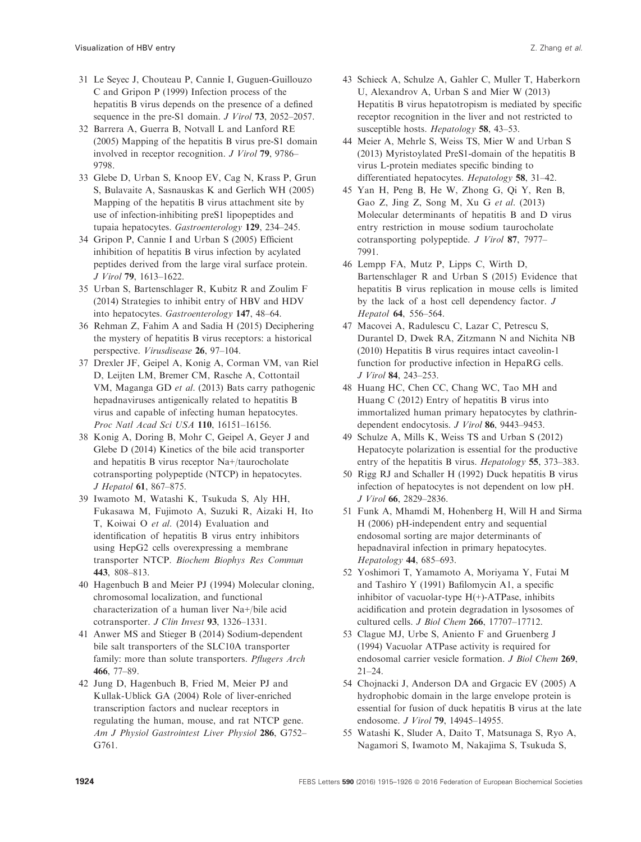- <span id="page-9-0"></span>31 Le Seyec J, Chouteau P, Cannie I, Guguen-Guillouzo C and Gripon P (1999) Infection process of the hepatitis B virus depends on the presence of a defined sequence in the pre-S1 domain. *J Virol* 73, 2052–2057.
- 32 Barrera A, Guerra B, Notvall L and Lanford RE (2005) Mapping of the hepatitis B virus pre-S1 domain involved in receptor recognition. J Virol 79, 9786– 9798.
- 33 Glebe D, Urban S, Knoop EV, Cag N, Krass P, Grun S, Bulavaite A, Sasnauskas K and Gerlich WH (2005) Mapping of the hepatitis B virus attachment site by use of infection-inhibiting preS1 lipopeptides and tupaia hepatocytes. Gastroenterology 129, 234–245.
- 34 Gripon P, Cannie I and Urban S (2005) Efficient inhibition of hepatitis B virus infection by acylated peptides derived from the large viral surface protein. J Virol 79, 1613–1622.
- 35 Urban S, Bartenschlager R, Kubitz R and Zoulim F (2014) Strategies to inhibit entry of HBV and HDV into hepatocytes. Gastroenterology 147, 48–64.
- 36 Rehman Z, Fahim A and Sadia H (2015) Deciphering the mystery of hepatitis B virus receptors: a historical perspective. Virusdisease 26, 97–104.
- 37 Drexler JF, Geipel A, Konig A, Corman VM, van Riel D, Leijten LM, Bremer CM, Rasche A, Cottontail VM, Maganga GD et al. (2013) Bats carry pathogenic hepadnaviruses antigenically related to hepatitis B virus and capable of infecting human hepatocytes. Proc Natl Acad Sci USA 110, 16151–16156.
- 38 Konig A, Doring B, Mohr C, Geipel A, Geyer J and Glebe D (2014) Kinetics of the bile acid transporter and hepatitis B virus receptor Na+/taurocholate cotransporting polypeptide (NTCP) in hepatocytes. J Hepatol 61, 867–875.
- 39 Iwamoto M, Watashi K, Tsukuda S, Aly HH, Fukasawa M, Fujimoto A, Suzuki R, Aizaki H, Ito T, Koiwai O et al. (2014) Evaluation and identification of hepatitis B virus entry inhibitors using HepG2 cells overexpressing a membrane transporter NTCP. Biochem Biophys Res Commun 443, 808–813.
- 40 Hagenbuch B and Meier PJ (1994) Molecular cloning, chromosomal localization, and functional characterization of a human liver Na+/bile acid cotransporter. J Clin Invest 93, 1326–1331.
- 41 Anwer MS and Stieger B (2014) Sodium-dependent bile salt transporters of the SLC10A transporter family: more than solute transporters. Pflugers Arch 466, 77–89.
- 42 Jung D, Hagenbuch B, Fried M, Meier PJ and Kullak-Ublick GA (2004) Role of liver-enriched transcription factors and nuclear receptors in regulating the human, mouse, and rat NTCP gene. Am J Physiol Gastrointest Liver Physiol 286, G752– G761.
- 43 Schieck A, Schulze A, Gahler C, Muller T, Haberkorn U, Alexandrov A, Urban S and Mier W (2013) Hepatitis B virus hepatotropism is mediated by specific receptor recognition in the liver and not restricted to susceptible hosts. Hepatology 58, 43–53.
- 44 Meier A, Mehrle S, Weiss TS, Mier W and Urban S (2013) Myristoylated PreS1-domain of the hepatitis B virus L-protein mediates specific binding to differentiated hepatocytes. Hepatology 58, 31–42.
- 45 Yan H, Peng B, He W, Zhong G, Qi Y, Ren B, Gao Z, Jing Z, Song M, Xu G et al. (2013) Molecular determinants of hepatitis B and D virus entry restriction in mouse sodium taurocholate cotransporting polypeptide. J Virol 87, 7977– 7991.
- 46 Lempp FA, Mutz P, Lipps C, Wirth D, Bartenschlager R and Urban S (2015) Evidence that hepatitis B virus replication in mouse cells is limited by the lack of a host cell dependency factor. J Hepatol 64, 556–564.
- 47 Macovei A, Radulescu C, Lazar C, Petrescu S, Durantel D, Dwek RA, Zitzmann N and Nichita NB (2010) Hepatitis B virus requires intact caveolin-1 function for productive infection in HepaRG cells. J Virol 84, 243–253.
- 48 Huang HC, Chen CC, Chang WC, Tao MH and Huang C (2012) Entry of hepatitis B virus into immortalized human primary hepatocytes by clathrindependent endocytosis. J Virol 86, 9443–9453.
- 49 Schulze A, Mills K, Weiss TS and Urban S (2012) Hepatocyte polarization is essential for the productive entry of the hepatitis B virus. Hepatology 55, 373–383.
- 50 Rigg RJ and Schaller H (1992) Duck hepatitis B virus infection of hepatocytes is not dependent on low pH. J Virol 66, 2829–2836.
- 51 Funk A, Mhamdi M, Hohenberg H, Will H and Sirma H (2006) pH-independent entry and sequential endosomal sorting are major determinants of hepadnaviral infection in primary hepatocytes. Hepatology 44, 685–693.
- 52 Yoshimori T, Yamamoto A, Moriyama Y, Futai M and Tashiro Y (1991) Bafilomycin A1, a specific inhibitor of vacuolar-type  $H(+)$ -ATPase, inhibits acidification and protein degradation in lysosomes of cultured cells. J Biol Chem 266, 17707–17712.
- 53 Clague MJ, Urbe S, Aniento F and Gruenberg J (1994) Vacuolar ATPase activity is required for endosomal carrier vesicle formation. J Biol Chem 269, 21–24.
- 54 Chojnacki J, Anderson DA and Grgacic EV (2005) A hydrophobic domain in the large envelope protein is essential for fusion of duck hepatitis B virus at the late endosome. J Virol 79, 14945–14955.
- 55 Watashi K, Sluder A, Daito T, Matsunaga S, Ryo A, Nagamori S, Iwamoto M, Nakajima S, Tsukuda S,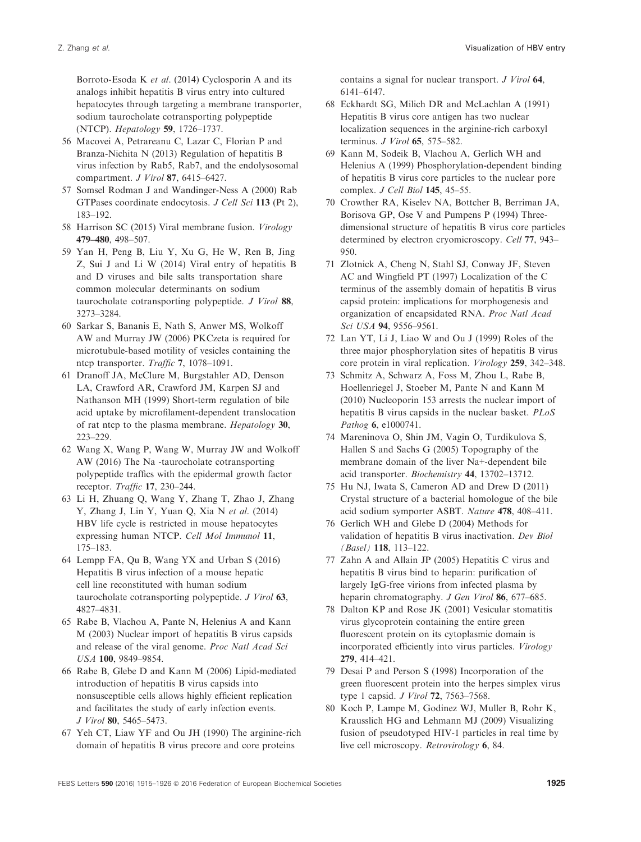<span id="page-10-0"></span>Borroto-Esoda K et al. (2014) Cyclosporin A and its analogs inhibit hepatitis B virus entry into cultured hepatocytes through targeting a membrane transporter, sodium taurocholate cotransporting polypeptide (NTCP). Hepatology 59, 1726–1737.

- 56 Macovei A, Petrareanu C, Lazar C, Florian P and Branza-Nichita N (2013) Regulation of hepatitis B virus infection by Rab5, Rab7, and the endolysosomal compartment. *J Virol* 87, 6415-6427.
- 57 Somsel Rodman J and Wandinger-Ness A (2000) Rab GTPases coordinate endocytosis. J Cell Sci 113 (Pt 2), 183–192.
- 58 Harrison SC (2015) Viral membrane fusion. Virology 479–480, 498–507.
- 59 Yan H, Peng B, Liu Y, Xu G, He W, Ren B, Jing Z, Sui J and Li W (2014) Viral entry of hepatitis B and D viruses and bile salts transportation share common molecular determinants on sodium taurocholate cotransporting polypeptide. J Virol 88, 3273–3284.
- 60 Sarkar S, Bananis E, Nath S, Anwer MS, Wolkoff AW and Murray JW (2006) PKCzeta is required for microtubule-based motility of vesicles containing the ntcp transporter. Traffic 7, 1078–1091.
- 61 Dranoff JA, McClure M, Burgstahler AD, Denson LA, Crawford AR, Crawford JM, Karpen SJ and Nathanson MH (1999) Short-term regulation of bile acid uptake by microfilament-dependent translocation of rat ntcp to the plasma membrane. Hepatology 30, 223–229.
- 62 Wang X, Wang P, Wang W, Murray JW and Wolkoff AW (2016) The Na -taurocholate cotransporting polypeptide traffics with the epidermal growth factor receptor. Traffic 17, 230–244.
- 63 Li H, Zhuang Q, Wang Y, Zhang T, Zhao J, Zhang Y, Zhang J, Lin Y, Yuan Q, Xia N et al. (2014) HBV life cycle is restricted in mouse hepatocytes expressing human NTCP. Cell Mol Immunol 11, 175–183.
- 64 Lempp FA, Qu B, Wang YX and Urban S (2016) Hepatitis B virus infection of a mouse hepatic cell line reconstituted with human sodium taurocholate cotransporting polypeptide. J Virol 63, 4827–4831.
- 65 Rabe B, Vlachou A, Pante N, Helenius A and Kann M (2003) Nuclear import of hepatitis B virus capsids and release of the viral genome. Proc Natl Acad Sci USA 100, 9849–9854.
- 66 Rabe B, Glebe D and Kann M (2006) Lipid-mediated introduction of hepatitis B virus capsids into nonsusceptible cells allows highly efficient replication and facilitates the study of early infection events. J Virol 80, 5465–5473.
- 67 Yeh CT, Liaw YF and Ou JH (1990) The arginine-rich domain of hepatitis B virus precore and core proteins

contains a signal for nuclear transport. J Virol 64, 6141–6147.

- 68 Eckhardt SG, Milich DR and McLachlan A (1991) Hepatitis B virus core antigen has two nuclear localization sequences in the arginine-rich carboxyl terminus. J Virol 65, 575–582.
- 69 Kann M, Sodeik B, Vlachou A, Gerlich WH and Helenius A (1999) Phosphorylation-dependent binding of hepatitis B virus core particles to the nuclear pore complex. J Cell Biol 145, 45-55.
- 70 Crowther RA, Kiselev NA, Bottcher B, Berriman JA, Borisova GP, Ose V and Pumpens P (1994) Threedimensional structure of hepatitis B virus core particles determined by electron cryomicroscopy. Cell 77, 943– 950.
- 71 Zlotnick A, Cheng N, Stahl SJ, Conway JF, Steven AC and Wingfield PT (1997) Localization of the C terminus of the assembly domain of hepatitis B virus capsid protein: implications for morphogenesis and organization of encapsidated RNA. Proc Natl Acad Sci USA 94, 9556–9561.
- 72 Lan YT, Li J, Liao W and Ou J (1999) Roles of the three major phosphorylation sites of hepatitis B virus core protein in viral replication. Virology 259, 342–348.
- 73 Schmitz A, Schwarz A, Foss M, Zhou L, Rabe B, Hoellenriegel J, Stoeber M, Pante N and Kann M (2010) Nucleoporin 153 arrests the nuclear import of hepatitis B virus capsids in the nuclear basket. PLoS Pathog 6, e1000741.
- 74 Mareninova O, Shin JM, Vagin O, Turdikulova S, Hallen S and Sachs G (2005) Topography of the membrane domain of the liver Na+-dependent bile acid transporter. Biochemistry 44, 13702–13712.
- 75 Hu NJ, Iwata S, Cameron AD and Drew D (2011) Crystal structure of a bacterial homologue of the bile acid sodium symporter ASBT. Nature 478, 408–411.
- 76 Gerlich WH and Glebe D (2004) Methods for validation of hepatitis B virus inactivation. Dev Biol (Basel) 118, 113–122.
- 77 Zahn A and Allain JP (2005) Hepatitis C virus and hepatitis B virus bind to heparin: purification of largely IgG-free virions from infected plasma by heparin chromatography. *J Gen Virol* 86, 677–685.
- 78 Dalton KP and Rose JK (2001) Vesicular stomatitis virus glycoprotein containing the entire green fluorescent protein on its cytoplasmic domain is incorporated efficiently into virus particles. Virology 279, 414–421.
- 79 Desai P and Person S (1998) Incorporation of the green fluorescent protein into the herpes simplex virus type 1 capsid. J Virol 72, 7563-7568.
- 80 Koch P, Lampe M, Godinez WJ, Muller B, Rohr K, Krausslich HG and Lehmann MJ (2009) Visualizing fusion of pseudotyped HIV-1 particles in real time by live cell microscopy. Retrovirology 6, 84.